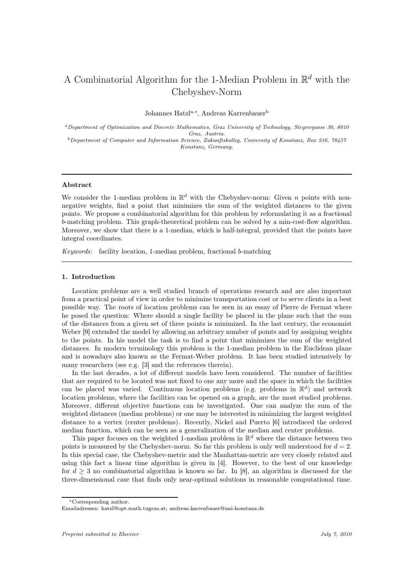# A Combinatorial Algorithm for the 1-Median Problem in  $\mathbb{R}^d$  with the Chebyshev-Norm

Johannes Hatzla,<sup>∗</sup> , Andreas Karrenbauer<sup>b</sup>

<sup>a</sup>Department of Optimization and Discrete Mathematics, Graz University of Technology, Steyrergasse 30, 8010 Graz, Austria.

 $b$ Department of Computer and Information Science, Zukunftskolleg, University of Konstanz, Box 216, 78457 Konstanz, Germany.

# Abstract

We consider the 1-median problem in  $\mathbb{R}^d$  with the Chebyshev-norm: Given n points with nonnegative weights, find a point that minimizes the sum of the weighted distances to the given points. We propose a combinatorial algorithm for this problem by reformulating it as a fractional b-matching problem. This graph-theoretical problem can be solved by a min-cost-flow algorithm. Moreover, we show that there is a 1-median, which is half-integral, provided that the points have integral coordinates.

*Keywords:* facility location, 1-median problem, fractional b-matching

### 1. Introduction

Location problems are a well studied branch of operations research and are also important from a practical point of view in order to minimize transportation cost or to serve clients in a best possible way. The roots of location problems can be seen in an essay of Pierre de Fermat where he posed the question: Where should a single facility be placed in the plane such that the sum of the distances from a given set of three points is minimized. In the last century, the economist Weber [9] extended the model by allowing an arbitrary number of points and by assigning weights to the points. In his model the task is to find a point that minimizes the sum of the weighted distances. In modern terminology this problem is the 1-median problem in the Euclidean plane and is nowadays also known as the Fermat-Weber problem. It has been studied intensively by many researchers (see e.g. [3] and the references therein).

In the last decades, a lot of different models have been considered. The number of facilities that are required to be located was not fixed to one any more and the space in which the facilities can be placed was varied. Continuous location problems (e.g. problems in  $\mathbb{R}^d$ ) and network location problems, where the facilities can be opened on a graph, are the most studied problems. Moreover, different objective functions can be investigated. One can analyze the sum of the weighted distances (median problems) or one may be interested in minimizing the largest weighted distance to a vertex (center problems). Recently, Nickel and Puerto [6] introduced the ordered median function, which can be seen as a generalization of the median and center problems.

This paper focuses on the weighted 1-median problem in  $\mathbb{R}^d$  where the distance between two points is measured by the Chebyshev-norm. So far this problem is only well understood for  $d = 2$ . In this special case, the Chebyshev-metric and the Manhattan-metric are very closely related and using this fact a linear time algorithm is given in [4]. However, to the best of our knowledge for  $d \geq 3$  no combinatorial algorithm is known so far. In [8], an algorithm is discussed for the three-dimensional case that finds only near-optimal solutions in reasonable computational time.

<sup>∗</sup>Corresponding author.

Emailadresses: hatzl@opt.math.tugraz.at; andreas.karrenbauer@uni-konstanz.de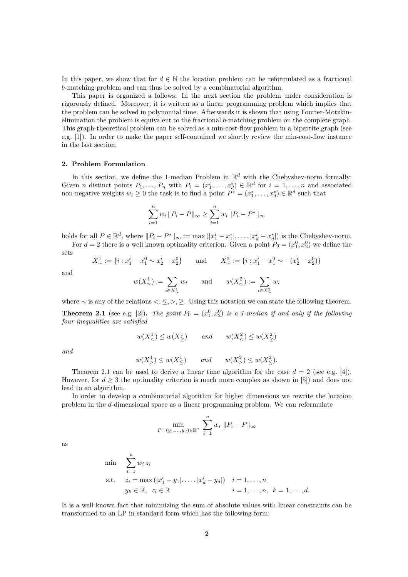In this paper, we show that for  $d \in \mathbb{N}$  the location problem can be reformulated as a fractional b-matching problem and can thus be solved by a combinatorial algorithm.

This paper is organized a follows: In the next section the problem under consideration is rigorously defined. Moreover, it is written as a linear programming problem which implies that the problem can be solved in polynomial time. Afterwards it is shown that using Fourier-Motzkinelimination the problem is equivalent to the fractional b-matching problem on the complete graph. This graph-theoretical problem can be solved as a min-cost-flow problem in a bipartite graph (see e.g. [1]). In order to make the paper self-contained we shortly review the min-cost-flow instance in the last section.

#### 2. Problem Formulation

In this section, we define the 1-median Problem in  $\mathbb{R}^d$  with the Chebyshev-norm formally: Given *n* distinct points  $P_1, \ldots, P_n$  with  $P_i = (x_1^i, \ldots, x_d^i) \in \mathbb{R}^d$  for  $i = 1, \ldots, n$  and associated non-negative weights  $w_i \geq 0$  the task is to find a point  $P^* = (x_1^*, \ldots, x_d^*) \in \mathbb{R}^d$  such that

$$
\sum_{i=1}^{n} w_i \|P_i - P\|_{\infty} \ge \sum_{i=1}^{n} w_i \|P_i - P^*\|_{\infty}
$$

holds for all  $P \in \mathbb{R}^d$ , where  $||P_i - P^*||_{\infty} := \max(|x_1^i - x_1^*|, \ldots, |x_d^i - x_d^*|)$  is the Chebyshev-norm.

For  $d = 2$  there is a well known optimality criterion. Given a point  $P_0 = (x_1^0, x_2^0)$  we define the sets

 $X^1_{\sim} := \{i : x_1^i - x_1^0 \sim x_2^i - x_2^0\}$  and  $X^2_{\sim} := \{i : x_1^i - x_1^0 \sim -(x_2^i - x_2^0)\}$ 

and

$$
w(X_{\sim}^1) := \sum_{i \in X_{\sim}^1} w_i \quad \text{and} \quad w(X_{\sim}^2) := \sum_{i \in X_{\sim}^2} w_i
$$

where  $\sim$  is any of the relations  $\lt, \leq, \gt, \geq$ . Using this notation we can state the following theorem. **Theorem 2.1** (see e.g. [2]). *The point*  $P_0 = (x_1^0, x_2^0)$  *is a 1-median if and only if the following four inequalities are satisfied*

$$
w(X_1) \le w(X_1) \qquad and \qquad w(X_2) \le w(X_2)
$$

*and*

$$
w(X^1) \le w(X^1) \qquad \text{and} \qquad w(X^2) \le w(X^2) \le w(X^2).
$$

Theorem 2.1 can be used to derive a linear time algorithm for the case  $d = 2$  (see e.g. [4]). However, for  $d \geq 3$  the optimality criterion is much more complex as shown in [5]) and does not lead to an algorithm.

In order to develop a combinatorial algorithm for higher dimensions we rewrite the location problem in the d-dimensional space as a linear programming problem. We can reformulate

$$
\min_{P=(y_1,\ldots,y_d)\in\mathbb{R}^d} \sum_{i=1}^n w_i \|P_i - P\|_{\infty}
$$

as

min 
$$
\sum_{i=1}^{n} w_i z_i
$$
  
\ns.t.  $z_i = \max(|x_1^i - y_1|, ..., |x_d^i - y_d|)$   $i = 1, ..., n$   
\n $y_k \in \mathbb{R}, z_i \in \mathbb{R}$   $i = 1, ..., n, k = 1, ..., d$ .

It is a well known fact that minimizing the sum of absolute values with linear constraints can be transformed to an LP in standard form which has the following form: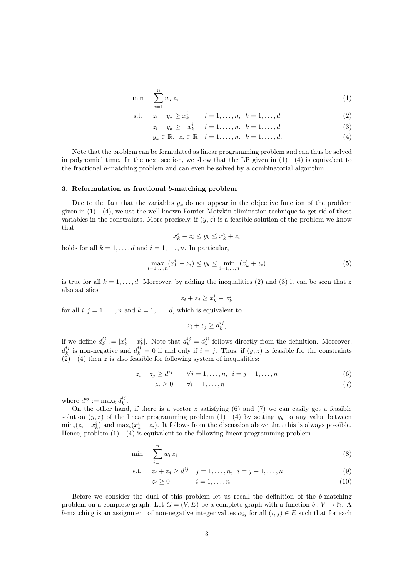$$
\min \sum_{i=1}^{n} w_i z_i \tag{1}
$$

s.t. 
$$
z_i + y_k \ge x_k^i
$$
  $i = 1, ..., n, k = 1, ..., d$  (2)

$$
z_i - y_k \ge -x_k^i \quad i = 1, \dots, n, \ k = 1, \dots, d
$$
 (3)

$$
y_k \in \mathbb{R}, \ z_i \in \mathbb{R} \quad i = 1, \dots, n, \ k = 1, \dots, d. \tag{4}
$$

Note that the problem can be formulated as linear programming problem and can thus be solved in polynomial time. In the next section, we show that the LP given in  $(1)$ — $(4)$  is equivalent to the fractional b-matching problem and can even be solved by a combinatorial algorithm.

#### 3. Reformulation as fractional b-matching problem

Due to the fact that the variables  $y_k$  do not appear in the objective function of the problem given in  $(1)$ — $(4)$ , we use the well known Fourier-Motzkin elimination technique to get rid of these variables in the constraints. More precisely, if  $(y, z)$  is a feasible solution of the problem we know that

$$
x_k^i - z_i \le y_k \le x_k^i + z_i
$$

holds for all  $k = 1, \ldots, d$  and  $i = 1, \ldots, n$ . In particular,

$$
\max_{i=1,\dots,n} (x_k^i - z_i) \le y_k \le \min_{i=1,\dots,n} (x_k^i + z_i)
$$
\n(5)

is true for all  $k = 1, \ldots, d$ . Moreover, by adding the inequalities (2) and (3) it can be seen that z also satisfies

$$
z_i + z_j \ge x_k^i - x_k^j
$$

for all  $i, j = 1, \ldots, n$  and  $k = 1, \ldots, d$ , which is equivalent to

$$
z_i + z_j \ge d_k^{ij},
$$

if we define  $d_k^{ij} := |x_k^i - x_k^j|$ . Note that  $d_k^{ij} = d_k^{ji}$  follows directly from the definition. Moreover,  $d_k^{ij}$  is non-negative and  $d_k^{ij} = 0$  if and only if  $i = j$ . Thus, if  $(y, z)$  is feasible for the constraints  $(2)$ — $(4)$  then z is also feasible for following system of inequalities:

$$
z_i + z_j \ge d^{ij} \qquad \forall j = 1, \dots, n, \quad i = j + 1, \dots, n \tag{6}
$$

$$
z_i \ge 0 \qquad \forall i = 1, \dots, n \tag{7}
$$

where  $d^{ij} := \max_k d_k^{ij}$ .

On the other hand, if there is a vector  $z$  satisfying  $(6)$  and  $(7)$  we can easily get a feasible solution  $(y, z)$  of the linear programming problem  $(1)$ — $(4)$  by setting  $y_k$  to any value between  $\min_i(z_i + x_k^i)$  and  $\max_i(x_k^i - z_i)$ . It follows from the discussion above that this is always possible. Hence, problem  $(1)$ — $(4)$  is equivalent to the following linear programming problem

$$
\min \sum_{i=1}^{n} w_i z_i \tag{8}
$$

s.t. 
$$
z_i + z_j \ge d^{ij}
$$
  $j = 1, ..., n, i = j + 1, ..., n$  (9)

$$
z_i \ge 0 \qquad i = 1, \dots, n \tag{10}
$$

Before we consider the dual of this problem let us recall the definition of the b-matching problem on a complete graph. Let  $G = (V, E)$  be a complete graph with a function  $b: V \to \mathbb{N}$ . A b-matching is an assignment of non-negative integer values  $\alpha_{ij}$  for all  $(i, j) \in E$  such that for each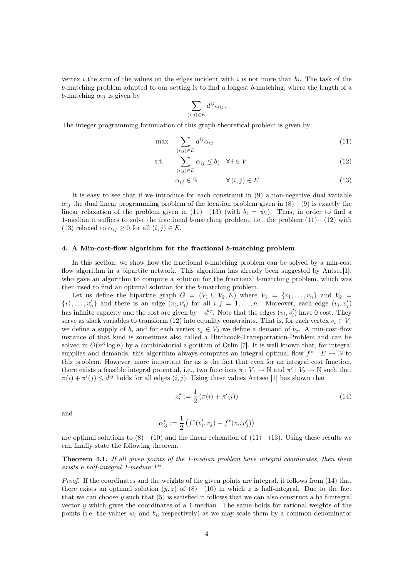vertex *i* the sum of the values on the edges incident with *i* is not more than  $b_i$ . The task of the b-matching problem adapted to our setting is to find a longest b-matching, where the length of a b-matching  $\alpha_{ij}$  is given by

$$
\sum_{(i,j)\in E} d^{ij}\alpha_{ij}.
$$

The integer programming formulation of this graph-theoretical problem is given by

$$
\max \sum_{(i,j)\in E} d^{ij} \alpha_{ij} \tag{11}
$$

$$
\text{s.t.} \quad \sum_{(i,j)\in E} \alpha_{ij} \le b_i \quad \forall \, i \in V \tag{12}
$$

$$
\alpha_{ij} \in \mathbb{N} \qquad \qquad \forall \left( i, j \right) \in E \tag{13}
$$

It is easy to see that if we introduce for each constraint in (9) a non-negative dual variable  $\alpha_{ij}$  the dual linear programming problem of the location problem given in (8)—(9) is exactly the linear relaxation of the problem given in  $(11)$ — $(13)$  (with  $b_i = w_i$ ). Thus, in order to find a 1-median it suffices to solve the fractional b-matching problem, i.e., the problem  $(11)$ — $(12)$  with (13) relaxed to  $\alpha_{ij} \geq 0$  for all  $(i, j) \in E$ .

## 4. A Min-cost-flow algorithm for the fractional b-matching problem

In this section, we show how the fractional b-matching problem can be solved by a min-cost flow algorithm in a bipartite network. This algorithm has already been suggested by Antsee<sup>[1]</sup>, who gave an algorithm to compute a solution for the fractional b-matching problem, which was then used to find an optimal solution for the b-matching problem.

Let us define the bipartite graph  $G = (V_1 \cup V_2, E)$  where  $V_1 = \{v_1, \ldots, v_n\}$  and  $V_2 =$  $\{v'_1, \ldots, v'_n\}$  and there is an edge  $(v_i, v'_j)$  for all  $i, j = 1, \ldots, n$ . Moreover, each edge  $(v_i, v'_j)$ has infinite capacity and the cost are given by  $-d^{ij}$ . Note that the edges  $(v_i, v'_i)$  have 0 cost. They serve as slack variables to transform (12) into equality constraints. That is, for each vertex  $v_i \in V_1$ we define a supply of  $b_i$  and for each vertex  $v_j \in V_2$  we define a demand of  $b_j$ . A min-cost-flow instance of that kind is sometimes also called a Hitchcock-Transportation-Problem and can be solved in  $O(n^3 \log n)$  by a combinatorial algorithm of Orlin [7]. It is well known that, for integral supplies and demands, this algorithm always computes an integral optimal flow  $f^* : E \to \mathbb{N}$  to this problem. However, more important for us is the fact that even for an integral cost function, there exists a feasible integral potential, i.e., two functions  $\pi: V_1 \to \mathbb{N}$  and  $\pi': V_2 \to \mathbb{N}$  such that  $\pi(i) + \pi'(j) \leq d^{ij}$  holds for all edges  $(i, j)$ . Using these values Antsee [1] has shown that

$$
z_i^* := \frac{1}{2} \left( \pi(i) + \pi'(i) \right) \tag{14}
$$

and

$$
\alpha_{ij}^* := \frac{1}{2} \left( f^*(v_i', v_j) + f^*(v_i, v_j') \right)
$$

are optimal solutions to  $(8)$ — $(10)$  and the linear relaxation of  $(11)$ — $(13)$ . Using these results we can finally state the following theorem.

# Theorem 4.1. *If all given points of the 1-median problem have integral coordinates, then there exists a half-integral 1-median*  $P^*$ .

*Proof.* If the coordinates and the weights of the given points are integral, it follows from (14) that there exists an optimal solution  $(y, z)$  of  $(8)$ — $(10)$  in which z is half-integral. Due to the fact that we can choose  $y$  such that  $(5)$  is satisfied it follows that we can also construct a half-integral vector  $y$  which gives the coordinates of a 1-median. The same holds for rational weights of the points (i.e. the values  $w_i$  and  $b_i$ , respectively) as we may scale them by a common denominator